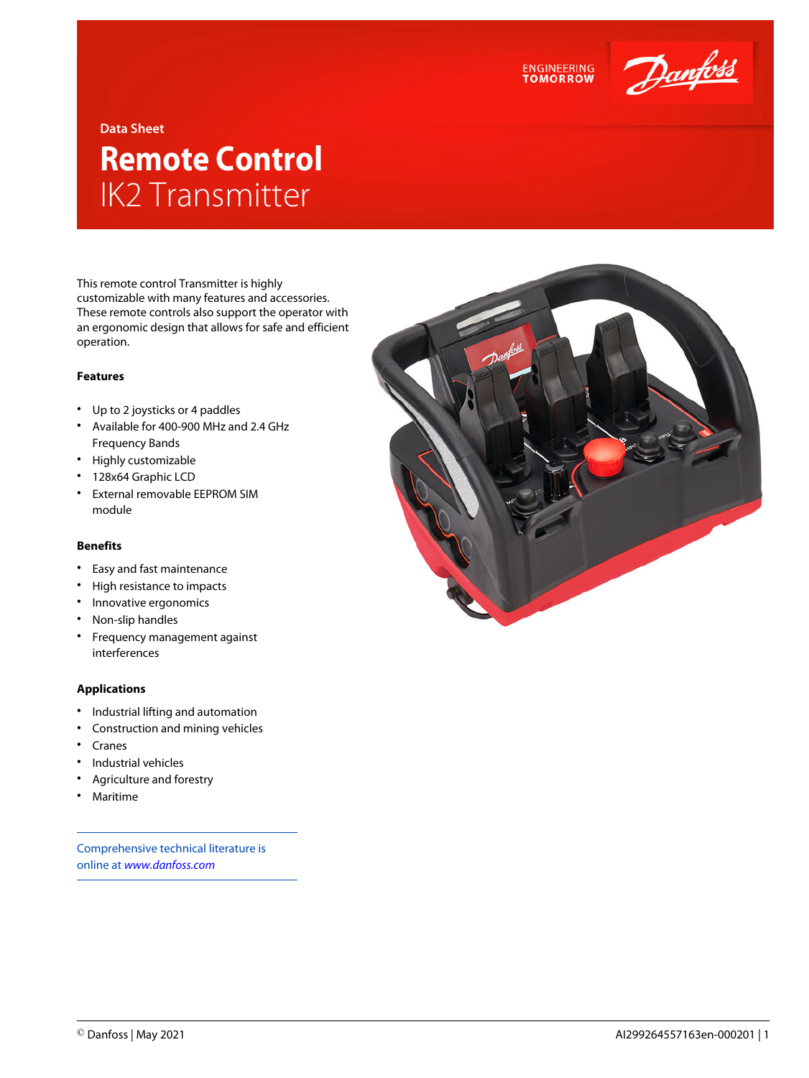

## **Data Sheet**

# **Remote Control** IK2 Transmitter

This remote control Transmitter is highly customizable with many features and accessories. These remote controls also support the operator with an ergonomic design that allows for safe and efficient operation.

## **Features**

- Up to 2 joysticks or 4 paddles
- Available for 400-900 MHz and 2.4 GHz Frequency Bands
- Highly customizable
- 128x64 Graphic LCD
- External removable EEPROM SIM module

#### **Benefits**

- Easy and fast maintenance
- High resistance to impacts
- Innovative ergonomics
- Non-slip handles
- Frequency management against interferences

#### **Applications**

- Industrial lifting and automation
- Construction and mining vehicles
- Cranes
- Industrial vehicles
- Agriculture and forestry
- Maritime

Comprehensive technical literature is online at *[www.danfoss.com](https://www.danfoss.com/en/search/?filter=type%3Adocumentation%2Csegment%3Adps)*



**ENGINEERING**<br>TOMORROW